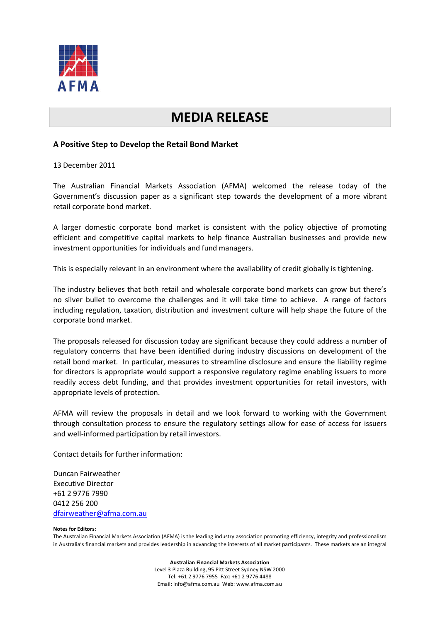

## **MEDIA RELEASE**

## **A Positive Step to Develop the Retail Bond Market**

13 December 2011

The Australian Financial Markets Association (AFMA) welcomed the release today of the Government's discussion paper as a significant step towards the development of a more vibrant retail corporate bond market.

A larger domestic corporate bond market is consistent with the policy objective of promoting efficient and competitive capital markets to help finance Australian businesses and provide new investment opportunities for individuals and fund managers.

This is especially relevant in an environment where the availability of credit globally is tightening.

The industry believes that both retail and wholesale corporate bond markets can grow but there's no silver bullet to overcome the challenges and it will take time to achieve. A range of factors including regulation, taxation, distribution and investment culture will help shape the future of the corporate bond market.

The proposals released for discussion today are significant because they could address a number of regulatory concerns that have been identified during industry discussions on development of the retail bond market. In particular, measures to streamline disclosure and ensure the liability regime for directors is appropriate would support a responsive regulatory regime enabling issuers to more readily access debt funding, and that provides investment opportunities for retail investors, with appropriate levels of protection.

AFMA will review the proposals in detail and we look forward to working with the Government through consultation process to ensure the regulatory settings allow for ease of access for issuers and well-informed participation by retail investors.

Contact details for further information:

Duncan Fairweather Executive Director +61 2 9776 7990 0412 256 200 [dfairweather@afma.com.au](mailto:dfairweather@afma.com.au)

## **Notes for Editors:**

The Australian Financial Markets Association (AFMA) is the leading industry association promoting efficiency, integrity and professionalism in Australia's financial markets and provides leadership in advancing the interests of all market participants. These markets are an integral

> **Australian Financial Markets Association** Level 3 Plaza Building, 95 Pitt Street Sydney NSW 2000 Tel: +61 2 9776 7955 Fax: +61 2 9776 4488 Email: info@afma.com.au Web: www.afma.com.au